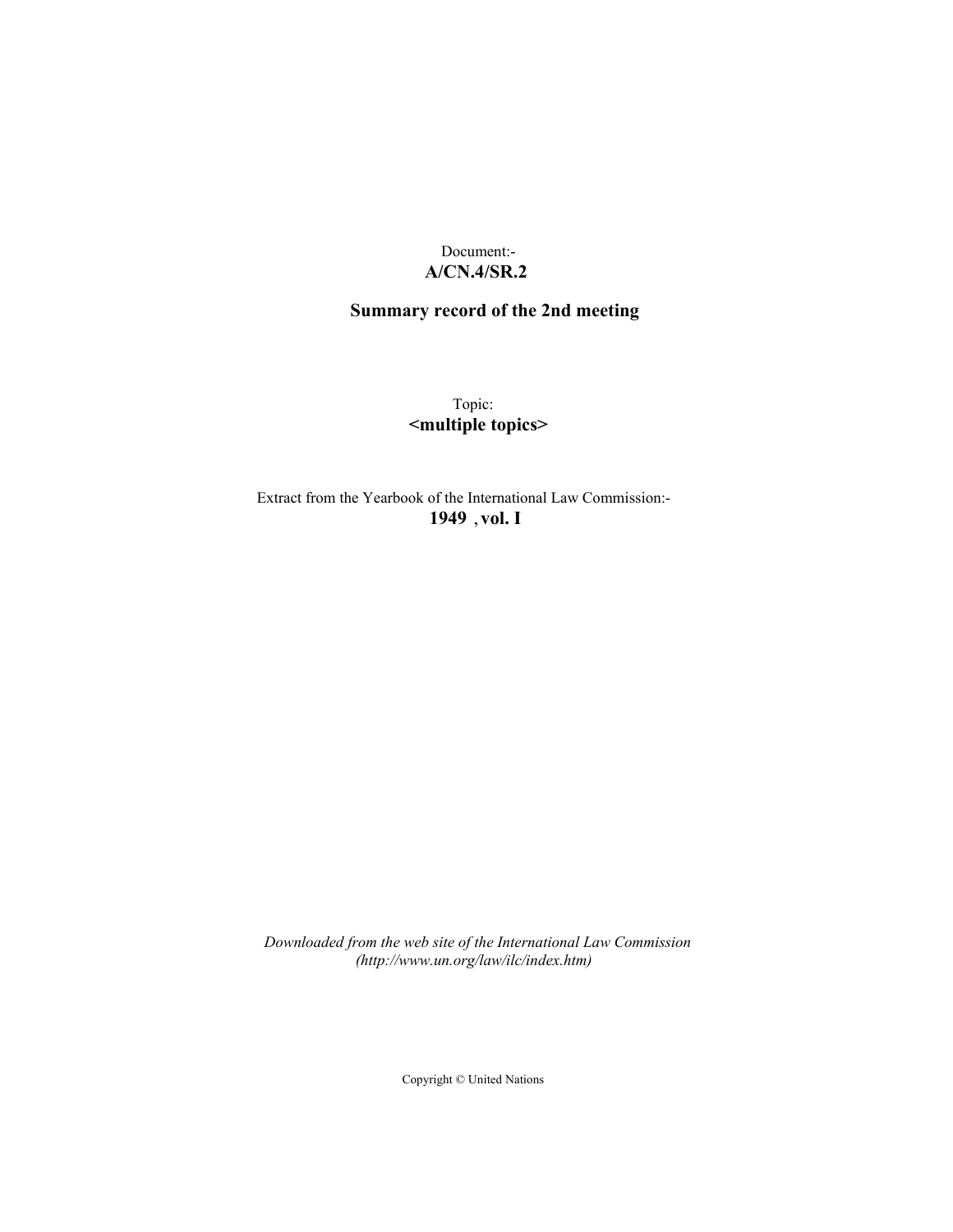Document:- **A/CN.4/SR.2**

# **Summary record of the 2nd meeting**

Topic: **<multiple topics>**

Extract from the Yearbook of the International Law Commission:- **1949** ,**vol. I**

*Downloaded from the web site of the International Law Commission (http://www.un.org/law/ilc/index.htm)*

Copyright © United Nations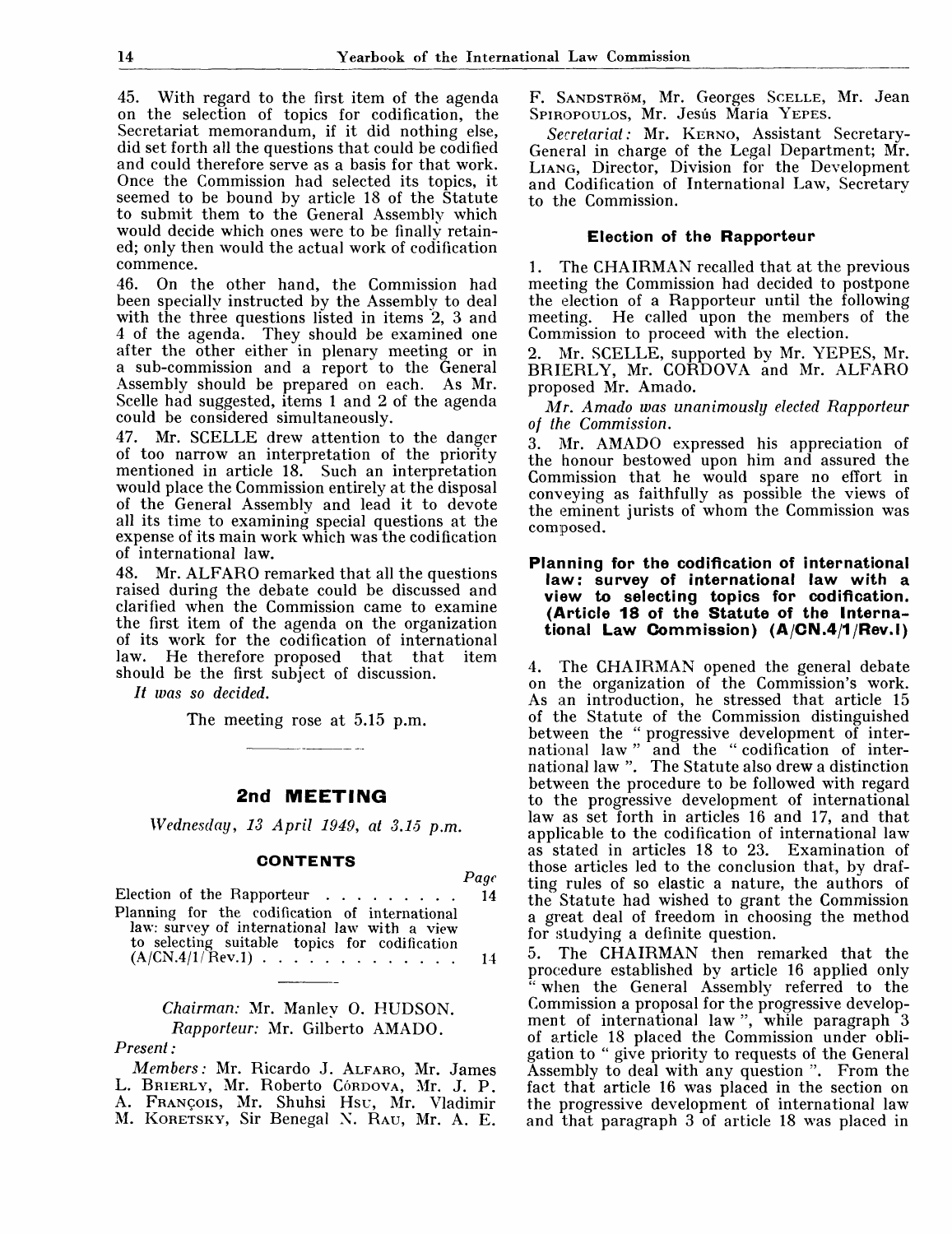45. With regard to the first item of the agenda on the selection of topics for codification, the Secretariat memorandum, if it did nothing else, did set forth all the questions that could be codified and could therefore serve as a basis for that work. Once the Commission had selected its topics, it seemed to be bound by article 18 of the Statute to submit them to the General Assembly which would decide which ones were to be finally retained; only then would the actual work of codification commence.

46. On the other hand, the Commission had been specially instructed by the Assembly to deal with the three questions listed in items 2, 3 and 4 of the agenda. They should be examined one after the other either in plenary meeting or in a sub-commission and a report to the General Assembly should be prepared on each. As Mr. Scelle had suggested, items 1 and 2 of the agenda could be considered simultaneously.

47. Mr. SCELLE drew attention to the danger of too narrow an interpretation of the priority mentioned in article 18. Such an interpretation would place the Commission entirely at the disposal of the General Assembly and lead it to devote all its time to examining special questions at the expense of its main work which was the codification of international law.

48. Mr. ALFARO remarked that all the questions raised during the debate could be discussed and clarified when the Commission came to examine the first item of the agenda on the organization of its work for the codification of international<br>law. He therefore proposed that that item law. He therefore proposed that that should be the first subject of discussion.

*It was so decided.*

The meeting rose at 5.15 p.m.

## **2nd MEETING**

*Wednesday, 13 April 1949, at 3.15 p.m.*

#### **CONTENTS**

|                                                                                                                                                 | $P$ aqe |
|-------------------------------------------------------------------------------------------------------------------------------------------------|---------|
| Election of the Rapporteur 14                                                                                                                   |         |
| Planning for the codification of international<br>law: survey of international law with a view<br>to selecting suitable topics for codification |         |
| $(A/CN.4/1/$ Rev.1) 14                                                                                                                          |         |

# *Chairman:* Mr. Manley 0. HUDSON. *Rapporteur:* Mr. Gilberto AMADO.

## *Present:*

*Members:* Mr. Ricardo J. ALFARO, Mr. James L. BRIERLY, Mr. Roberto Córdova, Mr. J. P. A. FRANCOIS, Mr. Shuhsi Hsu, Mr. Vladimir M. KORETSKY, Sir Benegal X. RAU, Mr. A. E.

F. SANDSTRÖM, Mr. Georges SCELLE, Mr. Jean SPIROPOULOS, Mr. Jesús María YEPES.

*Secretariat:* Mr. KERNO, Assistant Secretary-General in charge of the Legal Department; Mr. LIANG, Director, Division for the Development and Codification of International Law, Secretary to the Commission.

### **Election of the Rapporteur**

1. The CHAIRMAN recalled that at the previous meeting the Commission had decided to postpone the election of a Rapporteur until the following meeting. He called upon the members of the Commission to proceed with the election.

2. Mr. SCELLE, supported by Mr. YEPES, Mr. BRIERLY, Mr. CORDOVA and Mr. ALFARO proposed Mr. Amado.

*Mr. Amado was unanimously elected Rapporteur of the Commission.*

3. Mr. AMADO expressed his appreciation of the honour bestow<sup>r</sup> ed upon him and assured the Commission that he would spare no effort in conveying as faithfully as possible the views of the eminent jurists of whom the Commission was composed.

### **Planning for the codification of international law: survey of international law with a view to selecting topics for codification. (Article 18 of the Statute of the Interna**tional Law Commission) (A/CN.4/1/Rev.1)

4. The CHAIRMAN opened the general debate on the organization of the Commission's work. As an introduction, he stressed that article 15 of the Statute of the Commission distinguished between the " progressive development of international law " and the " codification of international law ". The Statute also drew a distinction hetween the procedure to be followed with regard to the progressive development of international law as set forth in articles 16 and 17, and that applicable to the codification of international law as stated in articles 18 to 23. Examination of those articles led to the conclusion that, by drafting rules of so elastic a nature, the authors of the Statute had wished to grant the Commission a great deal of freedom in choosing the method for studying a definite question.

5. The CHAIRMAN then remarked that the procedure established by article 16 applied only when the General Assembly referred to the Commission a proposal for the progressive development of international law ", while paragraph 3 of article 18 placed the Commission under obligation to " give priority to requests of the General Assembly to deal with any question ". From the fact that article 16 was placed in the section on the progressive development of international law and that paragraph 3 of article 18 was placed in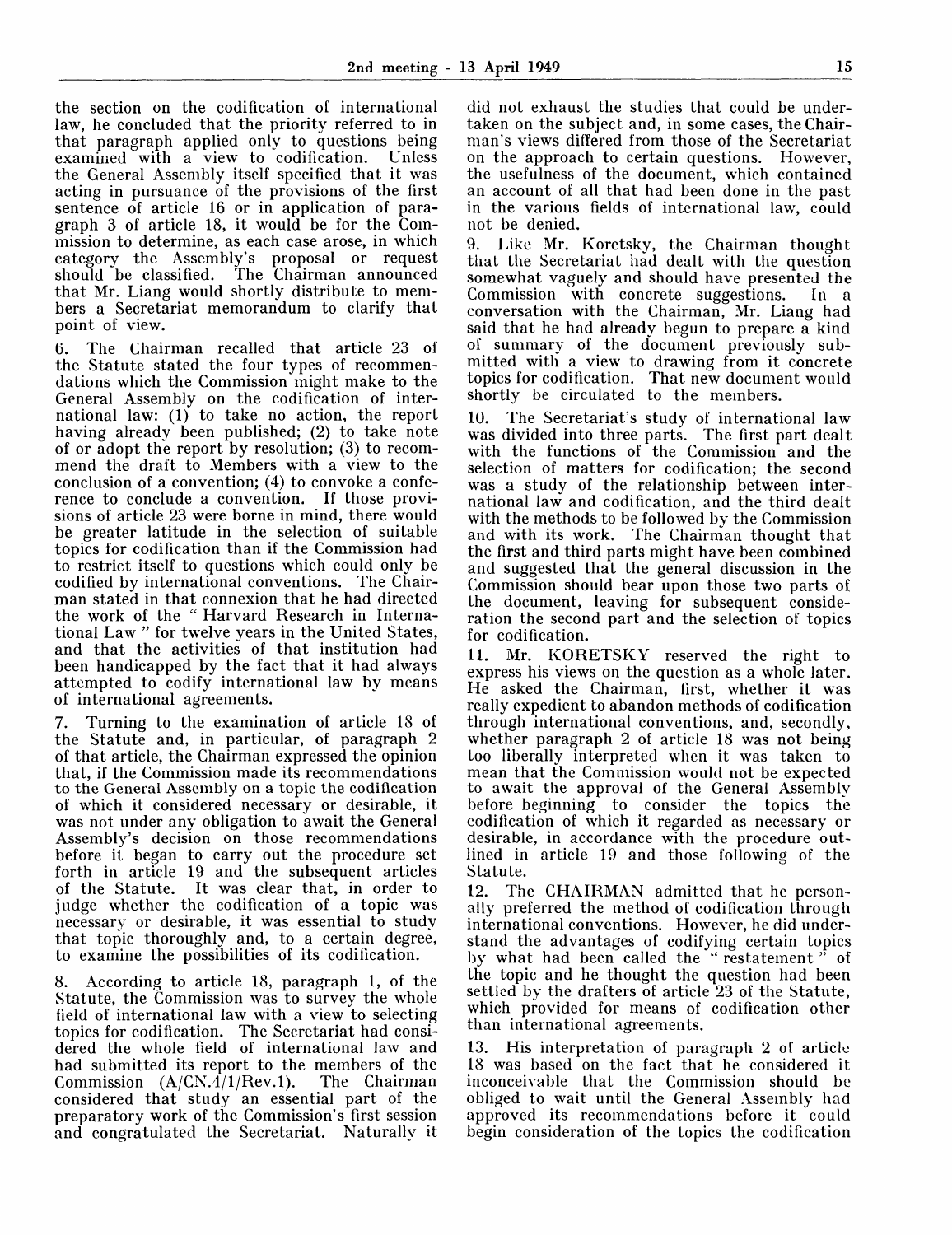the section on the codification of international law, he concluded that the priority referred to in that paragraph applied only to questions being<br>examined with a view to codification. Unless  $examined$  with a view to codification. the General Assembly itself specified that it was acting in pursuance of the provisions of the first sentence of article 16 or in application of paragraph 3 of article 18, it would be for the Commission to determine, as each case arose, in which category the Assembly's proposal or request should be classified. The Chairman announced that Mr. Liang would shortly distribute to members a Secretariat memorandum to clarify that point of view.

6. The Chairman recalled that article 23 of the Statute stated the four types of recommendations which the Commission might make to the General Assembly on the codification of international law: (1) to take no action, the report having already been published; (2) to take note of or adopt the report by resolution; (3) to recommend the draft to Members with a view to the conclusion of a convention; (4) to convoke a conference to conclude a convention. If those provisions of article 23 were borne in mind, there would be greater latitude in the selection of suitable topics for codification than if the Commission had to restrict itself to questions which could only be codified by international conventions. The Chairman stated in that connexion that he had directed the work of the " Harvard Research in International Law " for twelve years in the United States, and that the activities of that institution had been handicapped by the fact that it had always attempted to codify international law by means of international agreements.

7. Turning to the examination of article 18 of the Statute and, in particular, of paragraph 2 of that article, the Chairman expressed the opinion that, if the Commission made its recommendations to the General Assembly on a topic the codification of which it considered necessary or desirable, it was not under any obligation to await the General Assembly's decision on those recommendations before it began to carry out the procedure set forth in article 19 and the subsequent articles of the Statute. It was clear that, in order to judge whether the codification of a topic was necessary or desirable, it was essential to study that topic thoroughly and, to a certain degree, to examine the possibilities of its codification.

8. According to article 18, paragraph 1, of the Statute, the Commission was to survey the whole field of international law with a view to selecting topics for codification. The Secretariat had considered the whole field of international law and had submitted its report to the members of the Commission  $(A/CN.4/1/Rev.1)$ . The Chairman considered that study an essential part of the preparatory work of the Commission's first session and congratulated the Secretariat. Naturally it

did not exhaust the studies that could be undertaken on the subject and, in some cases, the Chairman's views differed from those of the Secretariat on the approach to certain questions. However, the usefulness of the document, which contained an account of all that had been done in the past in the various fields of international law, could not be denied.

9. Like Mr. Koretsky, the Chairman thought that the Secretariat had dealt with the question somewhat vaguely and should have presented the Commission with concrete suggestions. In a conversation with the Chairman, Mr. Liang had said that he had already begun to prepare a kind of summary of the document previously submitted with a view to drawing from it concrete topics for codification. That new document would shortly be circulated to the members.

10. The Secretariat's study of international law was divided into three parts. The first part dealt with the functions of the Commission and the selection of matters for codification; the second was a study of the relationship between international law and codification, and the third dealt with the methods to be followed by the Commission and with its work. The Chairman thought that the first and third parts might have been combined and suggested that the general discussion in the Commission should bear upon those two parts of the document, leaving for subsequent consideration the second part and the selection of topics for codification.

11. Mr. KORETSKY reserved the right to express his views on the question as a whole later. He asked the Chairman, first, whether it was really expedient to abandon methods of codification through international conventions, and, secondly, whether paragraph 2 of article 18 was not being too liberally interpreted when it was taken to mean that the Commission would not be expected to await the approval of the General Assembly before beginning to consider the topics the codification of which it regarded as necessary or desirable, in accordance with the procedure outlined in article 19 and those following of the Statute.

12. The CHAIRMAN admitted that he personally preferred the method of codification through international conventions. However, he did understand the advantages of codifying certain topics by what had been called the " restatement " of the topic and he thought the question had been settled by the drafters of article 23 of the Statute, which provided for means of codification other than international agreements.

13. His interpretation of paragraph 2 of article 18 was based on the fact that he considered it inconceivable that the Commission should be obliged to wait until the General Assembly had approved its recommendations before it could begin consideration of the topics the codification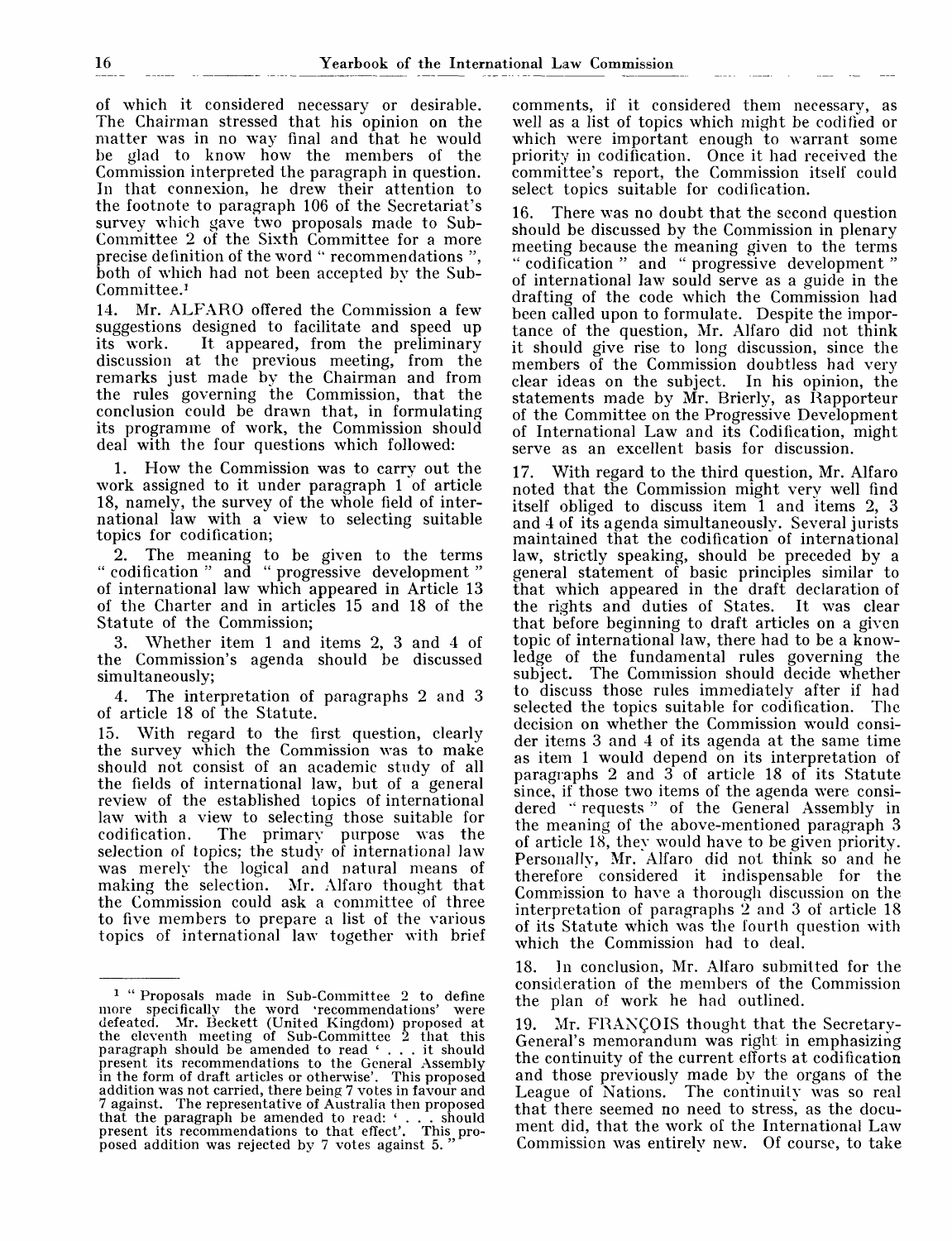of which it considered necessary or desirable. The Chairman stressed that his opinion on the matter was in no way final and that he would be glad to know how the members of the Commission interpreted the paragraph in question. In that connexion, he drew their attention to the footnote to paragraph 106 of the Secretariat's survey which gave two proposals made to Sub-Committee 2 of the Sixth Committee for a more precise definition of the word " recommendations ", both of which had not been accepted by the Sub-Committee.<sup>1</sup>

14. Mr. ALFARO offered the Commission a few suggestions designed to facilitate and speed up<br>its work. It appeared, from the preliminary It appeared, from the preliminary discussion at the previous meeting, from the remarks just made by the Chairman and from the rules governing the Commission, that the conclusion could be drawn that, in formulating its programme of work, the Commission should deal with the four questions which followed:

1. How the Commission was to carry out the work assigned to it under paragraph 1 of article 18, namely, the survey of the whole field of international law with a view to selecting suitable topics for codification;

2. The meaning to be given to the terms " codification " and " progressive development " of international law which appeared in Article 13 of the Charter and in articles 15 and 18 of the Statute of the Commission;

3. Whether item 1 and items 2, 3 and 4 of the Commission's agenda should be discussed simultaneously;

4. The interpretation of paragraphs 2 and 3 of article 18 of the Statute.

15. With regard to the first question, clearly the survey which the Commission was to make should not consist of an academic study of all the fields of international law, but of a general review of the established topics of international law with a view to selecting those suitable for codification. The primary purpose was the selection of topics; the study of international law was merely the logical and natural means of making the selection. Mr. Alfaro thought that the Commission could ask a committee of three to five members to prepare a list of the various topics of international law together with brief

comments, if it considered them necessary, as well as a list of topics which might be codified or which were important enough to warrant some priority in codification. Once it had received the committee's report, the Commission itself could select topics suitable for codification.

16. There was no doubt that the second question should be discussed by the Commission in plenary meeting because the meaning given to the terms " codification " and " progressive development " of international law sould serve as a guide in the drafting of the code which the Commission had been called upon to formulate. Despite the importance of the question, Mr. Alfaro did not think it should give rise to long discussion, since the members of the Commission doubtless had very clear ideas on the subject. In his opinion, the statements made by Mr. Brierly, as Rapporteur of the Committee on the Progressive Development of International Law and its Codification, might serve as an excellent basis for discussion.

17. With regard to the third question, Mr. Alfaro noted that the Commission might very well find itself obliged to discuss item 1 and items 2, 3 and 4 of its agenda simultaneously. Several jurists maintained that the codification of international law, strictly speaking, should be preceded by a general statement of basic principles similar to that which appeared in the draft declaration of the rights and duties of States. It was clear that before beginning to draft articles on a given topic of international law, there had to be a knowledge of the fundamental rules governing the The Commission should decide whether to discuss those rules immediately after if had selected the topics suitable for codification. decision on w 7 hether the Commission would consider items 3 and 4 of its agenda at the same time as item 1 would depend on its interpretation of paragraphs 2 and 3 of article 18 of its Statute since, if those two items of the agenda were considered "requests" of the General Assembly in the meaning of the above-mentioned paragraph 3 of article 18, they would have to be given priority. Personally, Mr. Alfaro did not think so and he therefore considered it indispensable for the Commission to have a thorough discussion on the interpretation of paragraphs  $\hat{2}$  and 3 of article 18 of its Statute which was the fourth question with which the Commission had to deal.

18. In conclusion, Mr. Alfaro submitted for the consideration of the members of the Commission the plan of work he had outlined.

19. Mr. FRANCOIS thought that the Secretary-General's memorandum was right in emphasizing the continuity of the current efforts at codification and those previously made by the organs of the League of Nations. The continuity was so real that there seemed no need to stress, as the document did, that the work of the International Law Commission was entirely new. Of course, to take

<sup>&</sup>lt;sup>1</sup> "Proposals made in Sub-Committee 2 to define more specifically the word 'recommendations' were defeated. Mr. Beckett (United Kingdom) proposed at the eleventh meeting of Sub-Committee 2 that this paragraph should be amended to read ' .. . it should present its recommendations to the General Assembly in the form of draft articles or otherwise'. This proposed addition was not carried, there being 7 votes in favour and 7 against. The representative of Australia then proposed that the paragraph be amended to read: ' . . . should present its recommendations to that effect'. This proposed addition was rejected by 7 votes against 5.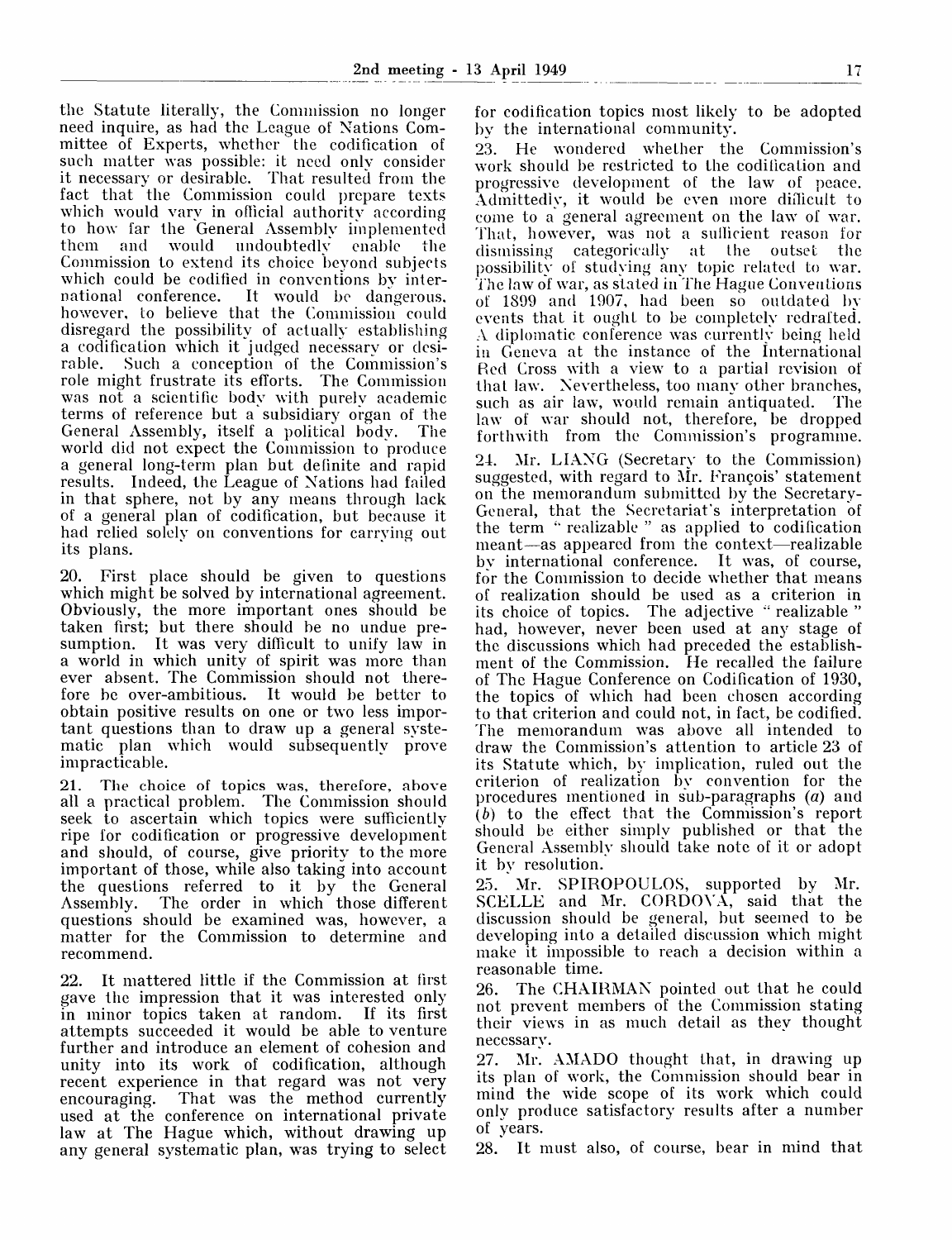the Statute literally, the Commission no longer need inquire, as had the League of Nations Committee of Experts, whether the codification of such matter was possible: it need only consider it necessary or desirable. That resulted from the fact that the Commission could prepare texts which would vary in official authority according to how far the General Assembly implemented them and would undoubtedly enable the Commission to extend its choice beyond subjects which could be codified in conventions by international conference. It would be dangerous, however, to believe that the Commission could disregard the possibility of actually establishing a codification which it judged necessary or desirable. Such a conception of the Commission's role might frustrate its efforts. The Commission was not a scientific body with purely academic terms of reference but a subsidiary organ of the General Assembly, itself a political body. The world did not expect the Commission to produce a general long-term plan but definite and rapid results. Indeed, the League of Nations had failed in that sphere, not by any means through lack of a general plan of codification, but because it had relied solely on conventions for carrying out its plans.

20. First place should be given to questions which might be solved by international agreement. Obviously, the more important ones should be taken first; but there should be no undue presumption. It was very difficult to unify law in a world in which unity of spirit was more than ever absent. The Commission should not therefore be over-ambitious. It would be better to obtain positive results on one or two less important questions than to draw up a general systematic plan which would subsequently prove impracticable.

21. The choice of topics was, therefore, above all a practical problem. The Commission should seek to ascertain which topics were sufficiently ripe for codification or progressive development and should, of course, give priority to the more important of those, while also taking into account the questions referred to it by the General Assembly. The order in which those different questions should be examined was, however, a matter for the Commission to determine and recommend.

22. It mattered little if the Commission at first gave the impression that it was interested only in minor topics taken at random. If its first attempts succeeded it would be able to venture further and introduce an element of cohesion and unity into its work of codification, although recent experience in that regard was not very encouraging. That was the method currently used at the conference on international private law at The Hague which, without drawing up any general systematic plan, was trying to select for codification topics most likely to be adopted by the international community.

23. He wondered whether the Commission's work should be restricted to the codification and progressive development of the law of peace. Admittedly, it would be even more difficult to come to a general agreement on the law of war. That, however, was not a sufficient reason for dismissing categorically at the outset the possibility of studying any topic related to war. The law of war, as stated in The Hague Conventions of 1899 and 1907, had been so outdated by events that it ought to be completely redrafted. A diplomatic conference was currently being held in Geneva at the instance of the International Red Cross with a view to a partial revision of that law. Nevertheless, too many other branches, such as air law, would remain antiquated. The law of war should not, therefore, be dropped forthwith from the Commission's programme.

24. Mr. LIANG (Secretary to the Commission) suggested, with regard to Mr. Francois' statement on the memorandum submitted by the Secretary-General, that the Secretariat's interpretation of the term "realizable" as applied to codification meant—as appeared from the context—realizable by international conference. It was, of course, for the Commission to decide whether that means of realization should be used as a criterion in its choice of topics. The adjective " realizable " had, however, never been used at any stage of the discussions which had preceded the establishment of the Commission. He recalled the failure of The Hague Conference on Codification of 1930, the topics of which had been chosen according to that criterion and could not, in fact, be codified. The memorandum was above all intended to draw the Commission's attention to article 23 of its Statute which, by implication, ruled out the criterion of realization by convention for the procedures mentioned in sub-paragraphs *(a)* and *(b)* to the effect that the Commission's report should be either simply published or that the General Assembly should take note of it or adopt it by resolution.

25. Mr. SPIROPOULOS, supported by Mr. SCELLE and Mr. CORDOVA, said that the discussion should be general, but seemed to be developing into a detailed discussion which might make it impossible to reach a decision within a reasonable time.

26. The CHAIRMAN pointed out that he could not prevent members of the Commission stating their views in as much detail as they thought necessary.

27. Mr. AMADO thought that, in drawing up its plan of work, the Commission should bear in mind the wide scope of its work which could only produce satisfactory results after a number of years.

28. It must also, of course, bear in mind that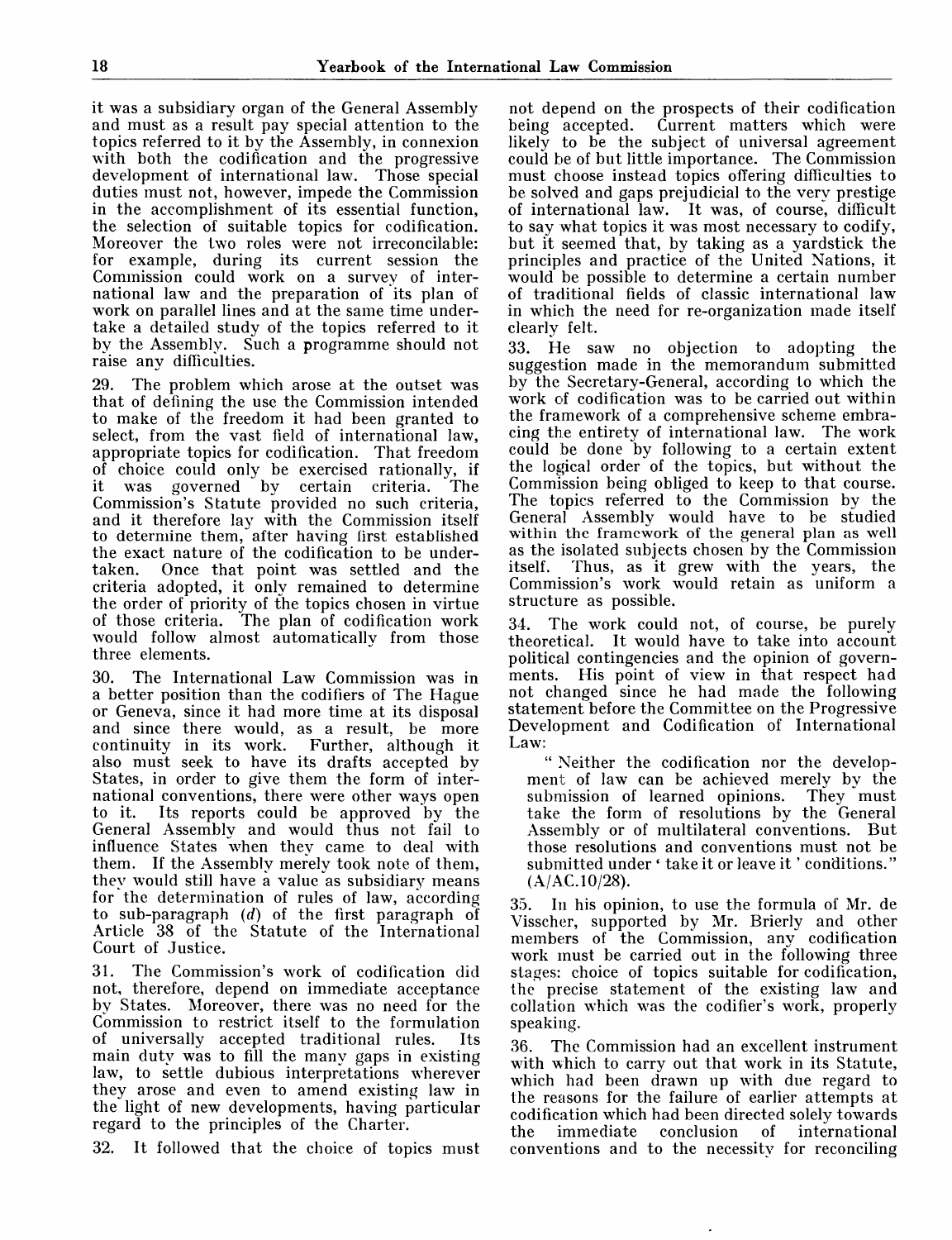it was a subsidiary organ of the General Assembly and must as a result pay special attention to the topics referred to it by the Assembly, in connexion with both the codification and the progressive development of international law. Those special duties must not, however, impede the Commission in the accomplishment of its essential function, the selection of suitable topics for codification. Moreover the two roles were not irreconcilable: for example, during its current session the Commission could work on a survey of international law and the preparation of its plan of matematical wide and proportation of the pian of take a detailed study of the topics referred to it by the Assembly. Such a programme should not raise any difficulties.

29. The problem which arose at the outset was that of defining the use the Commission intended to make of the freedom it had been granted to select, from the vast field of international law, appropriate topics for codification. That freedom of choice could only be exercised rationally, if it was governed by certain criteria. The Commission's Statute provided no such criteria, and it therefore lay with the Commission itself to determine them, after having first established the exact nature of the codification to be undertaken. Once that point was settled and the criteria adopted, it only remained to determine the order of priority of the topics chosen in virtue of those criteria. The plan of codification work would follow almost automatically from those three elements.

30. The International Law Commission was in a better position than the codifiers of The Hague or Geneva, since it had more time at its disposal and since there would, as a result, be more continuity in its work. Further, although it continuity in its work. also must seek to have its drafts accepted by States, in order to give them the form of international conventions, there were other ways open<br>to it. Its reports could be approved by the Its reports could be approved by the General Assembly and would thus not fail to influence States when they came to deal with them. If the Assembly merely took note of them, they would still have a value as subsidiary means for the determination of rules of law, according to sub-paragraph *(d)* of the first paragraph of Article 38 of the Statute of the International Court of Justice.

31. The Commission's work of codification did not, therefore, depend on immediate acceptance by States. Moreover, there was no need for the Commission to restrict itself to the formulation of universally accepted traditional rules. Its main duty was to fill the many gaps in existing law, to settle dubious interpretations wherever they arose and even to amend existing law in the light of new developments, having particular regard to the principles of the Charter.

32. It followed that the choice of topics must

not depend on the prospects of their codification<br>being accepted. Current matters which were Current matters which were likely to be the subject of universal agreement could be of but little importance. The Commission must choose instead topics offering difficulties to be solved and gaps prejudicial to the very prestige of international law. It was, of course, difficult to say what topics it was most necessary to codify, but it seemed that, by taking as a yardstick the principles and practice of the United Nations, it would be possible to determine a certain number of traditional fields of classic international law in which the need for re-organization made itself clearly felt.

33. He saw no objection to adopting the suggestion made in the memorandum submitted by the Secretary-General, according to which the work of codification was to be carried out within the framework of a comprehensive scheme embracing the entirety of international law. The work could be done by following to a certain extent the logical order of the topics, but without the Commission being obliged to keep to that course. The topics referred to the Commission by the General Assembly would have to be studied within the framework of the general plan as well as the isolated subjects chosen by the Commission itself. Thus, as it grew with the years, the Commission's work would retain as uniform a structure as possible.

34. The work could not, of course, be purely theoretical. It would have to take into account political contingencies and the opinion of governments. His point of view in that respect had not changed since he had made the following statement before the Committee on the Progressive Development and Codification of International Law:

" Neither the codification nor the development of law can be achieved merely by the submission of learned opinions. They must submission of learned opinions. take the form of resolutions by the General Assembly or of multilateral conventions. But those resolutions and conventions must not be submitted under ' take it or leave it ' conditions."  $(A/AC.10/28).$ 

35. In his opinion, to use the formula of Mr. de Visscher, supported by Mr. Brierly and other members of the Commission, any codification work must be carried out in the following three stages: choice of topics suitable for codification, the precise statement of the existing law and collation which was the codifier's work, properly speaking.

36. The Commission had an excellent instrument with which to carry out that work in its Statute, which had been drawn up with due regard to the reasons for the failure of earlier attempts at codification which had been directed solely towards the immediate conclusion of international conventions and to the necessity for reconciling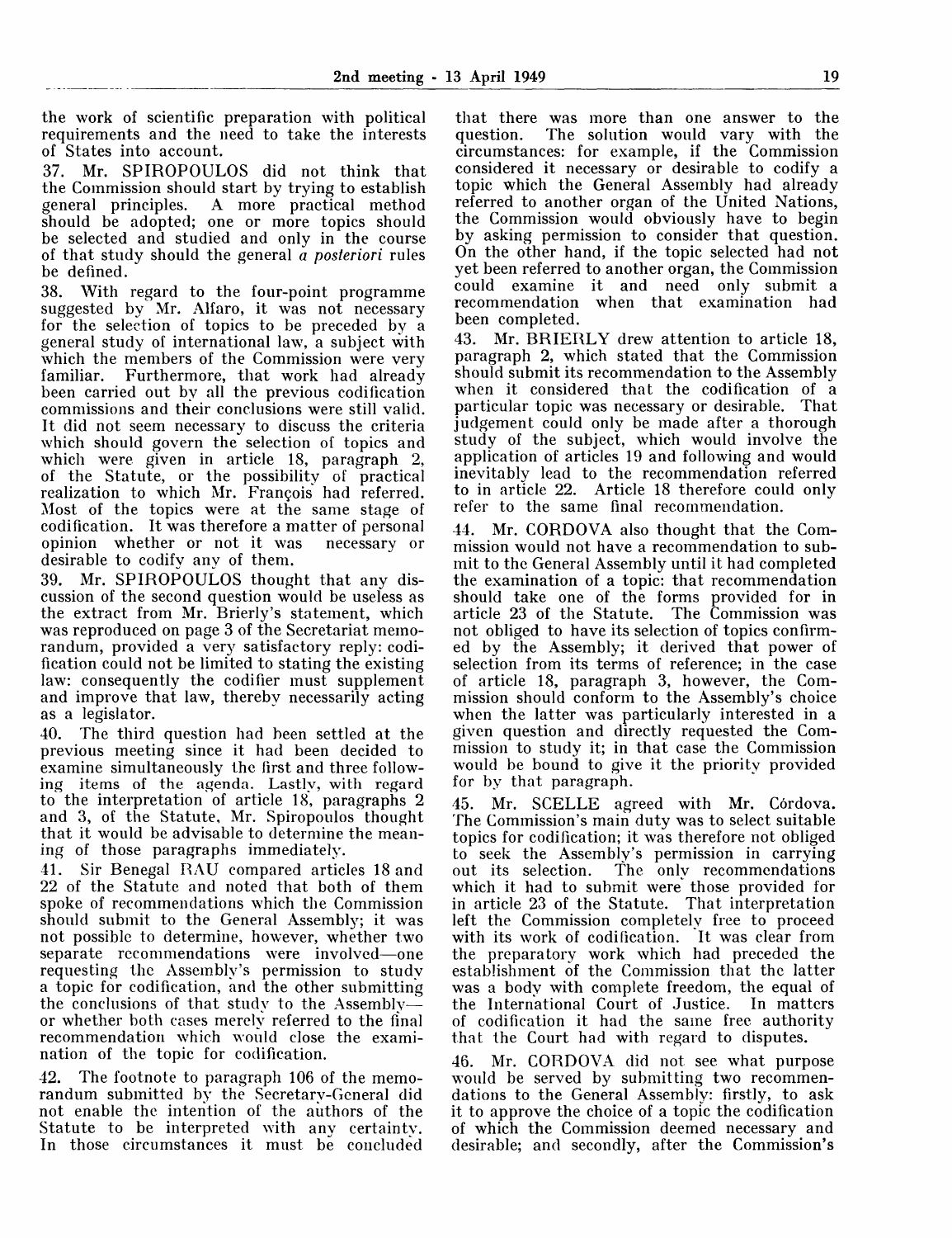the work of scientific preparation with political requirements and the need to take the interests of States into account.

37. Mr. SPIROPOULOS did not think that the Commission should start by trying to establish general principles. A more practical method should be adopted; one or more topics should be selected and studied and only in the course of that study should the general *a posteriori* rules be defined.

38. With regard to the four-point programme suggested by Mr. Alfaro, it was not necessary for the selection of topics to be preceded by a general study of international law, a subject with which the members of the Commission were very familiar. Furthermore, that work had already Furthermore, that work had already been carried out by all the previous codification commissions and their conclusions were still valid. It did not seem necessary to discuss the criteria which should govern the selection of topics and which were given in article 18, paragraph 2, of the Statute, or the possibility of practical realization to which Mr. Francois had referred. Most of the topics were at the same stage of codification. It was therefore a matter of personal opinion whether or not it was desirable to codify any of them.

39. Mr. SPIROPOULOS thought that any discussion of the second question would be useless as the extract from Mr. Brierly's statement, which was reproduced on page 3 of the Secretariat memorandum, provided a very satisfactory reply: codification could not be limited to stating the existing law: consequently the codifier must supplement and improve that law, thereby necessarily acting as a legislator.

40. The third question had been settled at the previous meeting since it had been decided to examine simultaneously the first and three following items of the agenda. Lastly, with regard to the interpretation of article 18, paragraphs 2 and 3, of the Statute, Mr. Spiropoulos thought that it would be advisable to determine the meaning of those paragraphs immediately.

41. Sir Benegal RAU compared articles 18 and 22 of the Statute and noted that both of them spoke of recommendations which the Commission should submit to the General Assembly; it was not possible to determine, however, whether two separate recommendations were involved—one requesting the Assembly's permission to study a topic for codification, and the other submitting the conclusions of that study to the Assembly or whether both cases merely referred to the final recommendation which would close the examination of the topic for codification.

42. The footnote to paragraph 106 of the memorandum submitted by the Secretary-General did not enable the intention of the authors of the Statute to be interpreted with any certainty. In those circumstances it must be concluded

that there was more than one answer to the The solution would vary with the circumstances: for example, if the Commission considered it necessary or desirable to codify a topic which the General Assembly had already referred to another organ of the United Nations, the Commission would obviously have to begin by asking permission to consider that question. On the other hand, if the topic selected had not yet been referred to another organ, the Commission could examine it and need only submit a recommendation when that examination had been completed.

43. Mr. BRIERLY drew attention to article 18, paragraph 2, which stated that the Commission should submit its recommendation to the Assembly when it considered that the codification of a particular topic was necessary or desirable. That judgement could only be made after a thorough study of the subject, which would involve the application of articles 19 and following and would inevitably lead to the recommendation referred<br>to in article 22. Article 18 therefore could only Article 18 therefore could only refer to the same final recommendation.

44. Mr. CORDOVA also thought that the Commission would not have a recommendation to submit to the General Assembly until it had completed the examination of a topic: that recommendation should take one of the forms provided for in article 23 of the Statute. The Commission was not obliged to have its selection of topics confirmed by the Assembly; it derived that power of selection from its terms of reference; in the case of article 18, paragraph 3, however, the Commission should conform to the Assembly's choice when the latter was particularly interested in a given question and directly requested the Commission to study it; in that case the Commission would be bound to give it the priority provided for by that paragraph.

45. Mr. SCELLE agreed with Mr. Córdova. The Commission's main duty was to select suitable topics for codification; it was therefore not obliged to seek the Assembly's permission in carrying out its selection. The only recommendations which it had to submit were those provided for in article 23 of the Statute. That interpretation left the Commission completely free to proceed with its work of codification. It was clear from the preparatory work which had preceded the establishment of the Commission that the latter was a body with complete freedom, the equal of the International Court of Justice. In matters of codification it had the same free authority that the Court had with regard to disputes.

46. Mr. CORDOVA did not see what purpose would be served by submitting two recommendations to the General Assembly: firstly, to ask it to approve the choice of a topic the codification of which the Commission deemed necessary and desirable; and secondly, after the Commission's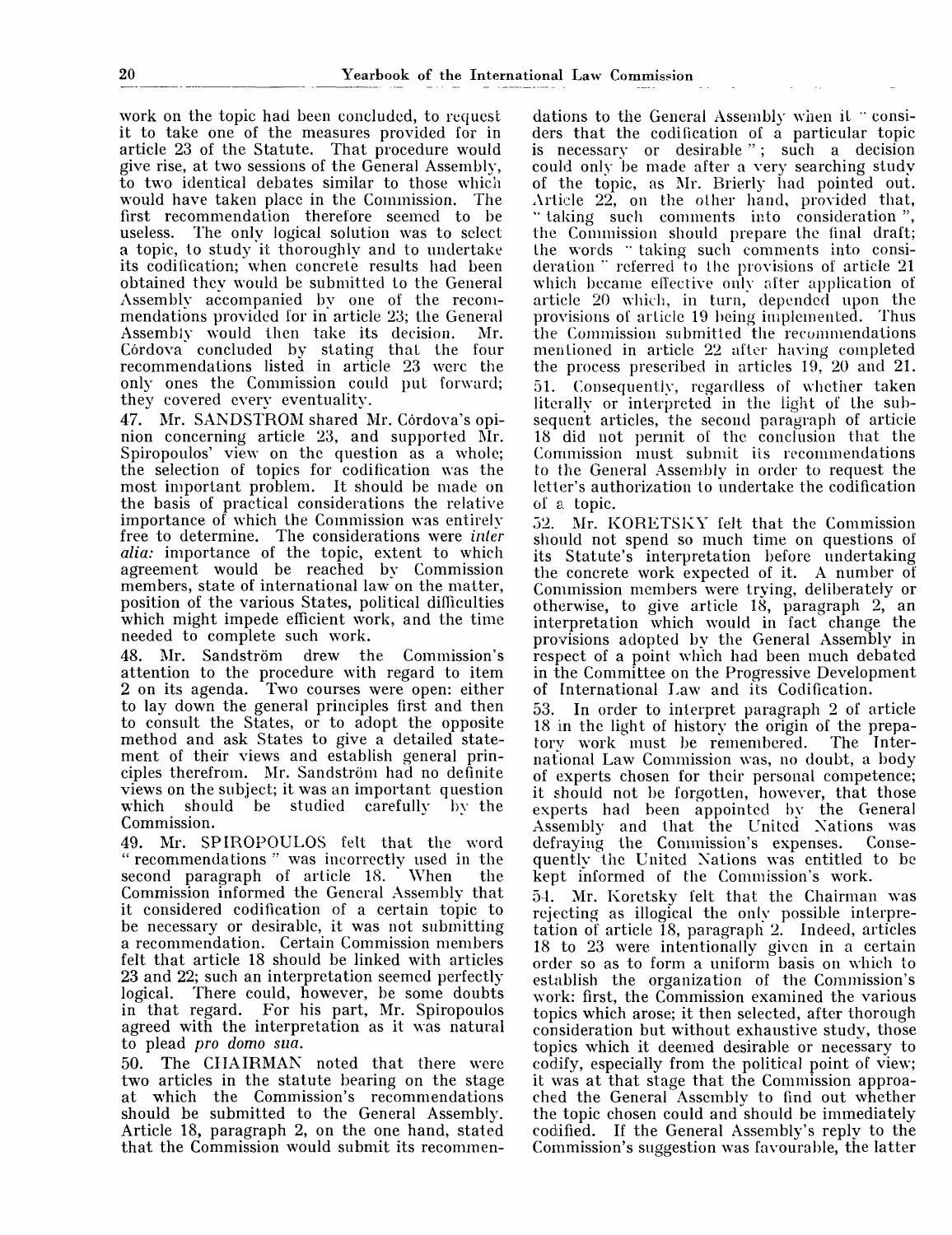work on the topic had been concluded, to request it to take one of the measures provided for in article 23 of the Statute. That procedure would give rise, at two sessions of the General Assembly, to two identical debates similar to those which would have taken place in the Commission. The first recommendation therefore seemed to be useless. The only logical solution was to select The only logical solution was to select a topic, to study it thoroughly and to undertake its codification; when concrete results had been obtained they would be submitted to the General Assembly accompanied by one of the recommendations provided for in article 23; the General Assembly would then take its decision. Mr. Córdova concluded by stating that the four recommendations listed in article 23 were the only ones the Commission could put forward; they covered every eventuality.

47. Mr. SANDSTROM shared Mr. Córdova's opinion concerning article 23, and supported Mr. Spiropoulos' view on the question as a whole; the selection of topics for codification was the most important problem. It should be made on the basis of practical considerations the relative importance of which the Commission was entirely free to determine. The considerations were *inter alia:* importance of the topic, extent to which agreement would be reached by Commission members, state of international law on the matter, position of the various States, political difficulties which might impede efficient work, and the time needed to complete such work.

48. Mr. Sandström drew the Commission's attention to the procedure with regard to item 2 on its agenda. Two courses were open: either to lay down the general principles first and then to consult the States, or to adopt the opposite method and ask States to give a detailed statement of their views and establish general principles therefrom. Mr. Sandström had no definite views on the subject; it was an important question which should be studied carefully by the Commission.

49. Mr. SPIROPOULOS felt that the word " recommendations " was incorrectly used in the second paragraph of article 18. When the Commission informed the General Assembly that it considered codification of a certain topic to be necessary or desirable, it was not submitting a recommendation. Certain Commission members felt that article 18 should be linked with articles 23 and 22; such an interpretation seemed perfectly logical. There could, however, be some doubts in that regard. For his part, Mr. Spiropoulos agreed with the interpretation as it was natural to plead *pro domo sua.*

50. The CHAIRMAN noted that there were two articles in the statute bearing on the stage at which the Commission's recommendations should be submitted to the General Assembly. Article 18, paragraph 2, on the one hand, stated that the Commission would submit its recommendations to the General Assembly when it "considers that the codification of a particular topic is necessary or desirable "; such a decision could only be made after a very searching study of the topic, as Mr. Brierly had pointed out. Article 22, on the other hand, provided that, " taking such comments into consideration' the Commission should prepare the final draft; the words " taking such comments into consideration " referred to the provisions of article 21 which became effective only after application of article 20 which, in turn, depended upon the provisions of article 19 being implemented. Thus the Commission submitted the recommendations mentioned in article 22 after having completed the process prescribed in articles 19, 20 and 21. 51. Consequently, regardless of whether taken literally or interpreted in the light of the subsequent articles, the second paragraph of article 18 did not permit of the conclusion that the Commission must submit its recommendations to the General Assembly in order to request the letter's authorization to undertake the codification of a topic.

52. Mr. KORETSKY felt that the Commission should not spend so much time on questions of its Statute's interpretation before undertaking the concrete work expected of it. A number of Commission members were trying, deliberately or otherwise, to give article 18, paragraph 2, an interpretation which would in fact change the provisions adopted by the General Assembly in respect of a point which had been much debated in the Committee on the Progressive Development of International Law and its Codification.

53. In order to interpret paragraph 2 of article 18 in the light of history the origin of the prepa-<br>tory work must be remembered. The Intertory work must be remembered. national Law Commission was, no doubt, a body of experts chosen for their personal competence; it should not be forgotten, however, that those experts had been appointed by the General Assembly and that the United Nations was defraying the Commission's expenses. Consedefraying the Commission's expenses. quently the United Nations was entitled to be kept informed of the Commission's work.

51. Mr. Koretsky felt that the Chairman was rejecting as illogical the only possible interpretation of article 18, paragraph 2. Indeed, articles 18 to 23 were intentionally given in a certain order so as to form a uniform basis on which to establish the organization of the Commission's work: first, the Commission examined the various topics which arose; it then selected, after thorough consideration but without exhaustive study, those topics which it deemed desirable or necessary to codify, especially from the political point of view; it was at that stage that the Commission approached the General Assembly to find out whether the topic chosen could and should be immediately codified. If the General Assembly's reply to the Commission's suggestion was favourable, the latter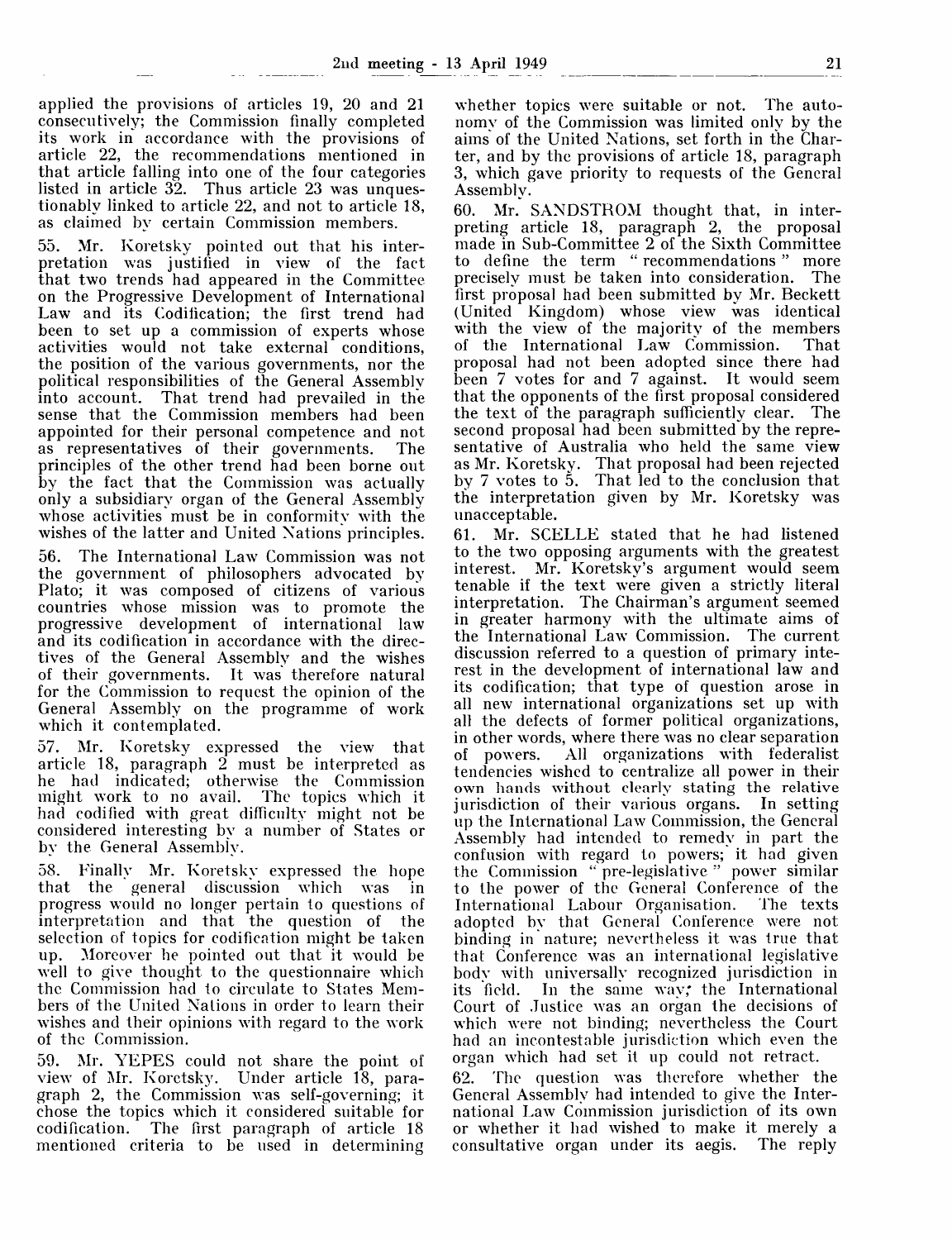applied the provisions of articles 19, 20 and 21 consecutively; the Commission finally completed its work in accordance with the provisions of article 22, the recommendations mentioned in that article falling into one of the four categories listed in article  $32$ . Thus article 23 was unquestionably linked to article 22, and not to article 18, as claimed by certain Commission members.

55. Mr. Koretsky pointed out that his interpretation was justified in view of the fact that two trends had appeared in the Committee on the Progressive Development of International Law and its Codification; the first trend had been to set up a commission of experts whose activities would not take external conditions, the position of the various governments, nor the political responsibilities of the General Assembly into account. That trend had prevailed in the sense that the Commission members had been appointed for their personal competence and not as representatives of their governments. The principles of the other trend had been borne out by the fact that the Commission was actually only a subsidiary organ of the General Assembly whose activities must be in conformity with the wishes of the latter and United Nations principles.

56. The International Law Commission was not the government of philosophers advocated by Plato; it was composed of citizens of various countries whose mission was to promote the progressive development of international law and its codification in accordance with the directives of the General Assembly and the wishes of their governments. It was therefore natural for the Commission to request the opinion of the General Assembly on the programme of work which it contemplated.

57. Mr. Koretsky expressed the view that article 18, paragraph 2 must be interpreted as he had indicated; otherwise the Commission might work to no avail. The topics which it had codified with great difficulty might not be considered interesting by a number of States or by the General Assembly.

58. Finally Mr. Koretsky expressed the hope that the general discussion which was in progress would no longer pertain to questions of interpretation and that the question of the selection of topics for codification might be taken up. Moreover he pointed out that it would be well to give thought to the questionnaire which the Commission had to circulate to States Members of the United Nations in order to learn their wishes and their opinions with regard to the work of the Commission.

59. Mr. YEPES could not share the point of view of Mr. Koretsky. Under article 18, paragraph 2, the Commission was self-governing; it chose the topics which it considered suitable for codification. The first paragraph of article 18 mentioned criteria to be used in determining

whether topics were suitable or not. The autonomy of the Commission was limited only by the aims of the United Nations, set forth in the Charter, and by the provisions of article 18, paragraph 3, which gave priority to requests of the General Assembly.

60. Mr. SANDSTROM thought that, in interpreting article 18, paragraph 2, the proposal made in Sub-Committee 2 of the Sixth Committee to define the term " recommendations " more precisely must be taken into consideration. The first proposal had been submitted by Mr. Beckett (United Kingdom) whose view was identical with the view of the majority of the members of the International Law Commission. That proposal had not been adopted since there had been 7 votes for and 7 against. It would seem that the opponents of the first proposal considered the text of the paragraph sufficiently clear. The second proposal had been submitted by the representative of Australia who held the same view as Mr. Koretsky. That proposal had been rejected by 7 votes to 5. That led to the conclusion that the interpretation given by Mr. Koretsky was unacceptable.

61. Mr. SCELLE stated that he had listened to the two opposing arguments with the greatest interest. Mr. Koretsky's argument would seem tenable if the text were given a strictly literal interpretation. The Chairman's argument seemed in greater harmony with the ultimate aims of the International Law Commission. The current discussion referred to a question of primary interest in the development of international law and its codification; that type of question arose in all new international organizations set up with all the defects of former political organizations, in other words, where there was no clear separation of powers. All organizations with federalist tendencies wished to centralize all power in their own hands without clearly stating the relative jurisdiction of their various organs. In setting up the Internationa] Law Commission, the General Assembly had intended to remedy in part the confusion with regard to powers; it had given the Commission "pre-legislative" power similar to the power of the General Conference of the International Labour Organisation. adopted by that General Conference were not binding in nature; nevertheless it was true that that Conference was an international legislative body with universally recognized jurisdiction in its field. In the same way; the International Court of Justice was an organ the decisions of which were not binding; nevertheless the Court had an incontestable jurisdiction which even the organ which had set it up could not retract. 62. The question was therefore whether the General Assembly had intended to give the Inter-

national Law Commission jurisdiction of its own or whether it had wished to make it merely a consultative organ under its aegis. The reply